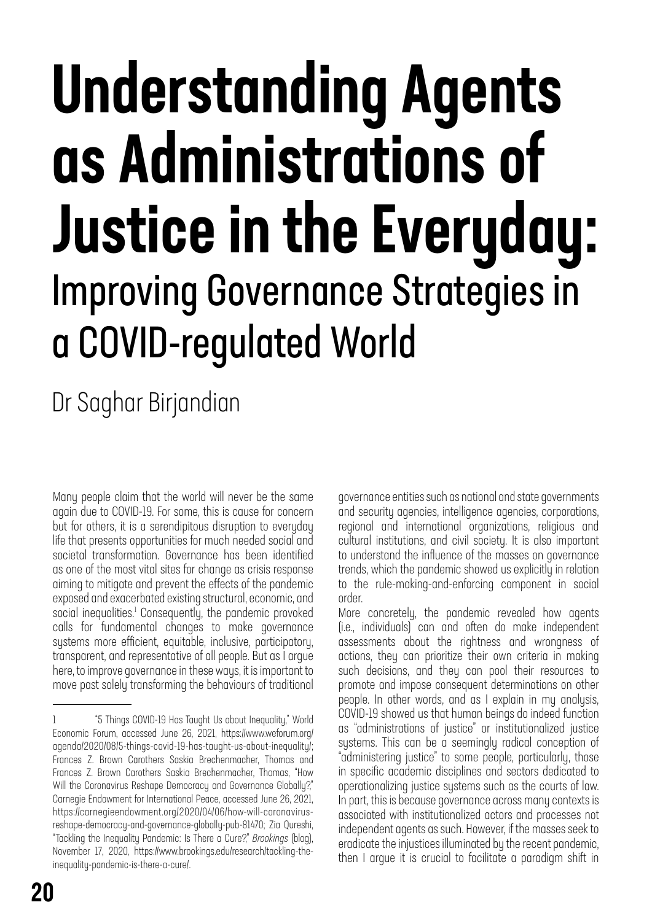# Understanding Agents as Administrations of Justice in the Everyday: Improving Governance Strategies in a COVID-regulated World

Dr Saghar Birjandian

Many people claim that the world will never be the same again due to COVID-19. For some, this is cause for concern but for others, it is a serendipitous disruption to everyday life that presents opportunities for much needed social and societal transformation. Governance has been identified as one of the most vital sites for change as crisis response aiming to mitigate and prevent the effects of the pandemic exposed and exacerbated existing structural, economic, and social inequalities.<sup>1</sup> Consequently, the pandemic provoked calls for fundamental changes to make governance systems more efficient, equitable, inclusive, participatory, transparent, and representative of all people. But as I argue here, to improve governance in these ways, it is important to move past solely transforming the behaviours of traditional governance entities such as national and state governments and security agencies, intelligence agencies, corporations, regional and international organizations, religious and cultural institutions, and civil society. It is also important to understand the influence of the masses on governance trends, which the pandemic showed us explicitly in relation to the rule-making-and-enforcing component in social order.

More concretely, the pandemic revealed how agents (i.e., individuals) can and often do make independent assessments about the rightness and wrongness of actions, they can prioritize their own criteria in making such decisions, and they can pool their resources to promote and impose consequent determinations on other people. In other words, and as I explain in my analysis, COVID-19 showed us that human beings do indeed function as "administrations of justice" or institutionalized justice systems. This can be a seemingly radical conception of "administering justice" to some people, particularly, those in specific academic disciplines and sectors dedicated to operationalizing justice systems such as the courts of law. In part, this is because governance across many contexts is associated with institutionalized actors and processes not independent agents as such. However, if the masses seek to eradicate the injustices illuminated by the recent pandemic, then I argue it is crucial to facilitate a paradigm shift in

<sup>1 &</sup>quot;5 Things COVID-19 Has Taught Us about Inequality," World Economic Forum, accessed June 26, 2021, https://www.weforum.org/ agenda/2020/08/5-things-covid-19-has-taught-us-about-inequality/; Frances Z. Brown Carothers Saskia Brechenmacher, Thomas and Frances Z. Brown Carothers Saskia Brechenmacher, Thomas, "How Will the Coronavirus Reshape Democracy and Governance Globally?" Carnegie Endowment for International Peace, accessed June 26, 2021, https://carnegieendowment.org/2020/04/06/how-will-coronavirusreshape-democracy-and-governance-globally-pub-81470; Zia Qureshi, "Tackling the Inequality Pandemic: Is There a Cure?," *Brookings* (blog), November 17, 2020, https://www.brookings.edu/research/tackling-theinequality-pandemic-is-there-a-cure/.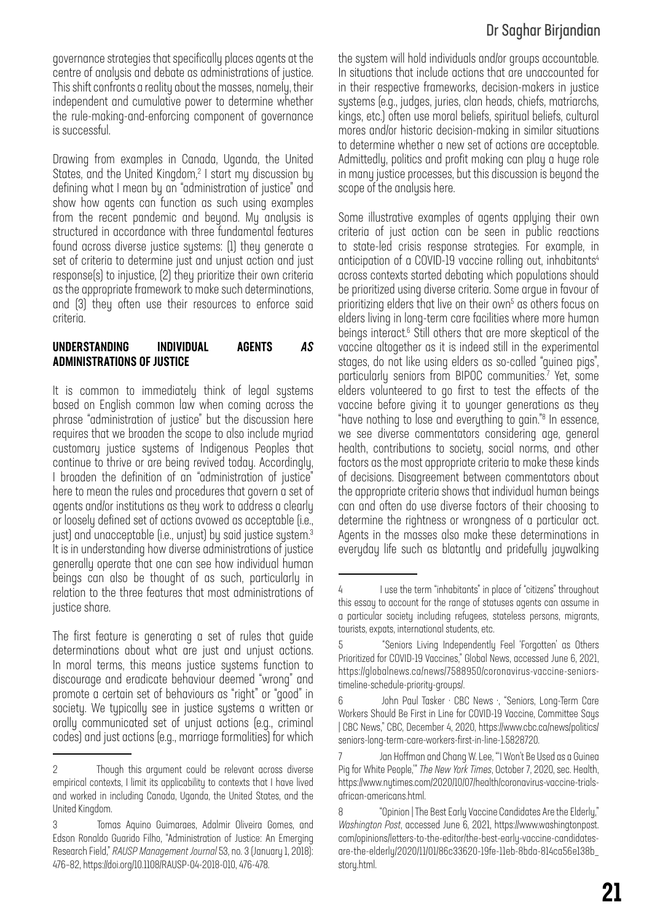governance strategies that specifically places agents at the centre of analysis and debate as administrations of justice. This shift confronts a reality about the masses, namely, their independent and cumulative power to determine whether the rule-making-and-enforcing component of governance is successful.

Drawing from examples in Canada, Uganda, the United States, and the United Kingdom,<sup>2</sup> I start my discussion by defining what I mean by an "administration of justice" and show how agents can function as such using examples from the recent pandemic and beyond. My analysis is structured in accordance with three fundamental features found across diverse justice systems: (1) they generate a set of criteria to determine just and unjust action and just response(s) to injustice, (2) they prioritize their own criteria as the appropriate framework to make such determinations, and (3) they often use their resources to enforce said criteria.

#### UNDERSTANDING INDIVIDUAL AGENTS *AS* ADMINISTRATIONS OF JUSTICE

It is common to immediately think of legal systems based on English common law when coming across the phrase "administration of justice" but the discussion here requires that we broaden the scope to also include myriad customary justice systems of Indigenous Peoples that continue to thrive or are being revived today. Accordingly, I broaden the definition of an "administration of justice" here to mean the rules and procedures that govern a set of agents and/or institutions as they work to address a clearly or loosely defined set of actions avowed as acceptable (i.e., just) and unacceptable (i.e., unjust) by said justice system.<sup>3</sup> It is in understanding how diverse administrations of justice generally operate that one can see how individual human beings can also be thought of as such, particularly in relation to the three features that most administrations of justice share.

The first feature is generating a set of rules that guide determinations about what are just and unjust actions. In moral terms, this means justice systems function to discourage and eradicate behaviour deemed "wrong" and promote a certain set of behaviours as "right" or "good" in society. We typically see in justice systems a written or orally communicated set of unjust actions (e.g., criminal codes) and just actions (e.g., marriage formalities) for which

## Dr Saghar Birjandian

the system will hold individuals and/or groups accountable. In situations that include actions that are unaccounted for in their respective frameworks, decision-makers in justice systems (e.g., judges, juries, clan heads, chiefs, matriarchs, kings, etc.) often use moral beliefs, spiritual beliefs, cultural mores and/or historic decision-making in similar situations to determine whether a new set of actions are acceptable. Admittedly, politics and profit making can play a huge role in many justice processes, but this discussion is beyond the scope of the analysis here.

Some illustrative examples of agents applying their own criteria of just action can be seen in public reactions to state-led crisis response strategies. For example, in anticipation of a COVID-19 vaccine rolling out, inhabitants<sup>4</sup> across contexts started debating which populations should be prioritized using diverse criteria. Some argue in favour of prioritizing elders that live on their own<sup>5</sup> as others focus on elders living in long-term care facilities where more human beings interact.<sup>6</sup> Still others that are more skeptical of the vaccine altogether as it is indeed still in the experimental stages, do not like using elders as so-called "guinea pigs", particularly seniors from BIPOC communities.<sup>7</sup> Yet, some elders volunteered to go first to test the effects of the vaccine before giving it to younger generations as they "have nothing to lose and everything to gain."8 In essence, we see diverse commentators considering age, general health, contributions to society, social norms, and other factors as the most appropriate criteria to make these kinds of decisions. Disagreement between commentators about the appropriate criteria shows that individual human beings can and often do use diverse factors of their choosing to determine the rightness or wrongness of a particular act. Agents in the masses also make these determinations in everyday life such as blatantly and pridefully jaywalking

<sup>2</sup> Though this argument could be relevant across diverse empirical contexts, I limit its applicability to contexts that I have lived and worked in including Canada, Uganda, the United States, and the United Kingdom.

<sup>3</sup> Tomas Aquino Guimaraes, Adalmir Oliveira Gomes, and Edson Ronaldo Guarido Filho, "Administration of Justice: An Emerging Research Field," *RAUSP Management Journal* 53, no. 3 (January 1, 2018): 476–82, https://doi.org/10.1108/RAUSP-04-2018-010, 476-478.

<sup>4</sup> I use the term "inhabitants" in place of "citizens" throughout this essay to account for the range of statuses agents can assume in a particular society including refugees, stateless persons, migrants, tourists, expats, international students, etc.

<sup>5 &</sup>quot;Seniors Living Independently Feel 'Forgotten' as Others Prioritized for COVID-19 Vaccines," Global News, accessed June 6, 2021, https://globalnews.ca/news/7588950/coronavirus-vaccine-seniorstimeline-schedule-priority-groups/.

<sup>6</sup> John Paul Tasker · CBC News ·, "Seniors, Long-Term Care Workers Should Be First in Line for COVID-19 Vaccine, Committee Says | CBC News," CBC, December 4, 2020, https://www.cbc.ca/news/politics/ seniors-long-term-care-workers-first-in-line-1.5828720.

<sup>7</sup> Jan Hoffman and Chang W. Lee, "'I Won't Be Used as a Guinea Pig for White People,'" *The New York Times*, October 7, 2020, sec. Health, https://www.nytimes.com/2020/10/07/health/coronavirus-vaccine-trialsafrican-americans.html.

<sup>8 &</sup>quot;Opinion | The Best Early Vaccine Candidates Are the Elderly," *Washington Post*, accessed June 6, 2021, https://www.washingtonpost. com/opinions/letters-to-the-editor/the-best-early-vaccine-candidatesare-the-elderly/2020/11/01/86c33620-19fe-11eb-8bda-814ca56e138b\_ story.html.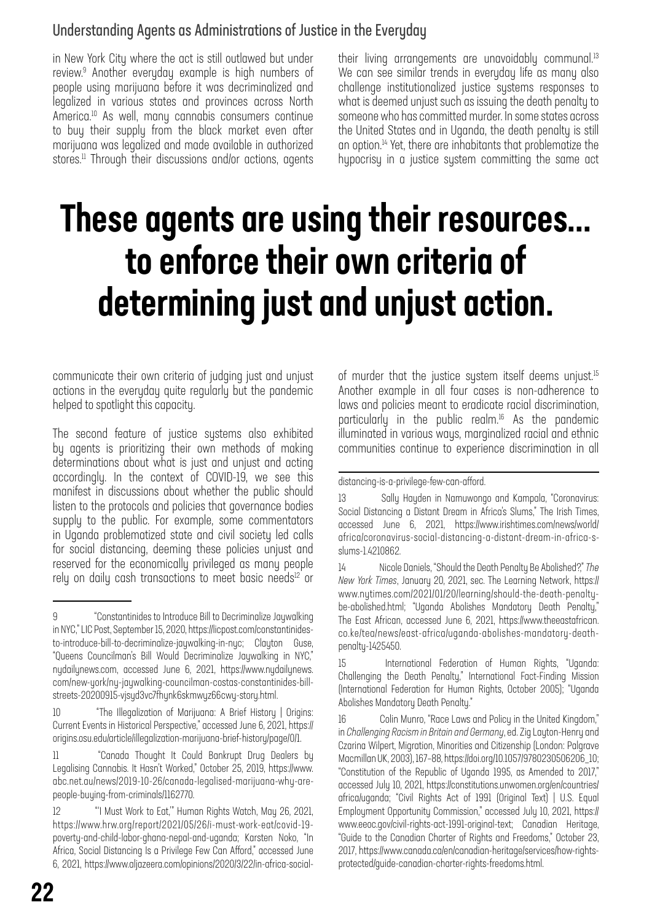### Understanding Agents as Administrations of Justice in the Everyday

in New York City where the act is still outlawed but under review.9 Another everyday example is high numbers of people using marijuana before it was decriminalized and legalized in various states and provinces across North America.<sup>10</sup> As well, many cannabis consumers continue to buy their supply from the black market even after marijuana was legalized and made available in authorized stores.<sup>11</sup> Through their discussions and/or actions, agents

their living arrangements are unavoidably communal.<sup>13</sup> We can see similar trends in everyday life as many also challenge institutionalized justice systems responses to what is deemed unjust such as issuing the death penalty to someone who has committed murder. In some states across the United States and in Uganda, the death penalty is still an option.<sup>14</sup> Yet, there are inhabitants that problematize the hypocrisy in a justice system committing the same act

# These agents are using their resources... to enforce their own criteria of determining just and unjust action.

communicate their own criteria of judging just and unjust actions in the everyday quite regularly but the pandemic helped to spotlight this capacity.

The second feature of justice systems also exhibited by agents is prioritizing their own methods of making determinations about what is just and unjust and acting accordingly. In the context of COVID-19, we see this manifest in discussions about whether the public should listen to the protocols and policies that governance bodies supply to the public. For example, some commentators in Uganda problematized state and civil society led calls for social distancing, deeming these policies unjust and reserved for the economically privileged as many people rely on daily cash transactions to meet basic needs<sup>12</sup> or of murder that the justice system itself deems unjust.<sup>15</sup> Another example in all four cases is non-adherence to laws and policies meant to eradicate racial discrimination, particularly in the public realm.<sup>16</sup> As the pandemic illuminated in various ways, marginalized racial and ethnic communities continue to experience discrimination in all

<sup>9 &</sup>quot;Constantinides to Introduce Bill to Decriminalize Jaywalking in NYC," LIC Post, September 15, 2020, https://licpost.com/constantinidesto-introduce-bill-to-decriminalize-jaywalking-in-nyc; Clayton Guse, "Queens Councilman's Bill Would Decriminalize Jaywalking in NYC," nydailynews.com, accessed June 6, 2021, https://www.nydailynews. com/new-york/ny-jaywalking-councilman-costas-constantinides-billstreets-20200915-vjsyd3vc7fhynk6skmwyz66cwy-story.html.

<sup>10 &</sup>quot;The Illegalization of Marijuana: A Brief History | Origins: Current Events in Historical Perspective," accessed June 6, 2021, https:// origins.osu.edu/article/illegalization-marijuana-brief-history/page/0/1.

<sup>11 &</sup>quot;Canada Thought It Could Bankrupt Drug Dealers by Legalising Cannabis. It Hasn't Worked," October 25, 2019, https://www. abc.net.au/news/2019-10-26/canada-legalised-marijuana-why-arepeople-buying-from-criminals/1162770.

<sup>12 &</sup>quot;'I Must Work to Eat,'" Human Rights Watch, May 26, 2021, https://www.hrw.org/report/2021/05/26/i-must-work-eat/covid-19 poverty-and-child-labor-ghana-nepal-and-uganda; Karsten Noko, "In Africa, Social Distancing Is a Privilege Few Can Afford," accessed June 6, 2021, https://www.aljazeera.com/opinions/2020/3/22/in-africa-social-

distancing-is-a-privilege-few-can-afford.

<sup>13</sup> Sally Hayden in Namuwongo and Kampala, "Coronavirus: Social Distancing a Distant Dream in Africa's Slums," The Irish Times, accessed June 6, 2021, https://www.irishtimes.com/news/world/ africa/coronavirus-social-distancing-a-distant-dream-in-africa-sslums-1.4210862.

<sup>14</sup> Nicole Daniels, "Should the Death Penalty Be Abolished?," *The New York Times*, January 20, 2021, sec. The Learning Network, https:// www.nytimes.com/2021/01/20/learning/should-the-death-penaltybe-abolished.html; "Uganda Abolishes Mandatory Death Penalty," The East African, accessed June 6, 2021, https://www.theeastafrican. co.ke/tea/news/east-africa/uganda-abolishes-mandatory-deathpenalty-1425450.

<sup>15</sup> International Federation of Human Rights, "Uganda: Challenging the Death Penalty," International Fact-Finding Mission (International Federation for Human Rights, October 2005); "Uganda Abolishes Mandatory Death Penalty."

<sup>16</sup> Colin Munro, "Race Laws and Policy in the United Kingdom," in *Challenging Racism in Britain and Germany*, ed. Zig Layton-Henry and Czarina Wilpert, Migration, Minorities and Citizenship (London: Palgrave Macmillan UK, 2003), 167–88, https://doi.org/10.1057/9780230506206\_10; "Constitution of the Republic of Uganda 1995, as Amended to 2017," accessed July 10, 2021, https://constitutions.unwomen.org/en/countries/ africa/uganda; "Civil Rights Act of 1991 (Original Text) | U.S. Equal Employment Opportunity Commission," accessed July 10, 2021, https:// www.eeoc.gov/civil-rights-act-1991-original-text; Canadian Heritage, "Guide to the Canadian Charter of Rights and Freedoms," October 23, 2017, https://www.canada.ca/en/canadian-heritage/services/how-rightsprotected/guide-canadian-charter-rights-freedoms.html.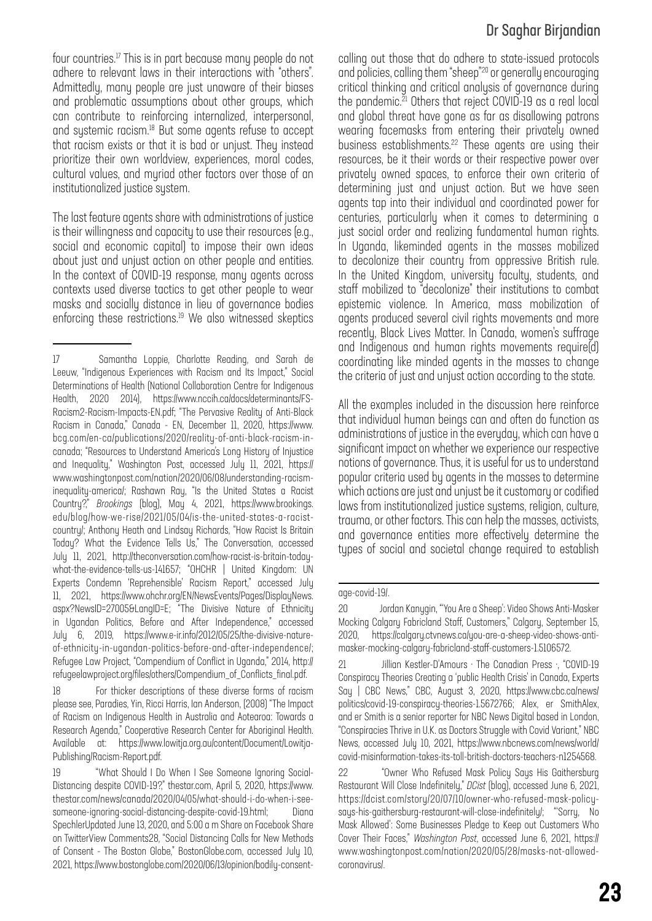four countries.17 This is in part because many people do not adhere to relevant laws in their interactions with "others". Admittedly, many people are just unaware of their biases and problematic assumptions about other groups, which can contribute to reinforcing internalized, interpersonal, and systemic racism.18 But some agents refuse to accept that racism exists or that it is bad or unjust. They instead prioritize their own worldview, experiences, moral codes, cultural values, and myriad other factors over those of an institutionalized justice system.

The last feature agents share with administrations of justice is their willingness and capacity to use their resources (e.g., social and economic capital) to impose their own ideas about just and unjust action on other people and entities. In the context of COVID-19 response, many agents across contexts used diverse tactics to get other people to wear masks and socially distance in lieu of governance bodies enforcing these restrictions.<sup>19</sup> We also witnessed skeptics

18 For thicker descriptions of these diverse forms of racism please see, Paradies, Yin, Ricci Harris, Ian Anderson, (2008) "The Impact of Racism on Indigenous Health in Australia and Aotearoa: Towards a Research Agenda," Cooperative Research Center for Aboriginal Health. Available at: https://www.lowitja.org.au/content/Document/Lowitja-Publishing/Racism-Report.pdf.

### Dr Saghar Birjandian

calling out those that do adhere to state-issued protocols and policies, calling them "sheep"20 or generally encouraging critical thinking and critical analysis of governance during the pandemic.<sup>21</sup> Others that reject COVID-19 as a real local and global threat have gone as far as disallowing patrons wearing facemasks from entering their privately owned business establishments.<sup>22</sup> These agents are using their resources, be it their words or their respective power over privately owned spaces, to enforce their own criteria of determining just and unjust action. But we have seen agents tap into their individual and coordinated power for centuries, particularly when it comes to determining a just social order and realizing fundamental human rights. In Uganda, likeminded agents in the masses mobilized to decolonize their country from oppressive British rule. In the United Kingdom, university faculty, students, and staff mobilized to "decolonize" their institutions to combat epistemic violence. In America, mass mobilization of agents produced several civil rights movements and more recently, Black Lives Matter. In Canada, women's suffrage and Indigenous and human rights movements require(d) coordinating like minded agents in the masses to change the criteria of just and unjust action according to the state.

All the examples included in the discussion here reinforce that individual human beings can and often do function as administrations of justice in the everyday, which can have a significant impact on whether we experience our respective notions of governance. Thus, it is useful for us to understand popular criteria used by agents in the masses to determine which actions are just and unjust be it customary or codified laws from institutionalized justice systems, religion, culture, trauma, or other factors. This can help the masses, activists, and governance entities more effectively determine the types of social and societal change required to establish

<sup>17</sup> Samantha Loppie, Charlotte Reading, and Sarah de Leeuw, "Indigenous Experiences with Racism and Its Impact," Social Determinations of Health (National Collaboration Centre for Indigenous Health, 2020 2014), https://www.nccih.ca/docs/determinants/FS-Racism2-Racism-Impacts-EN.pdf; "The Pervasive Reality of Anti-Black Racism in Canada," Canada - EN, December 11, 2020, https://www. bcg.com/en-ca/publications/2020/reality-of-anti-black-racism-incanada; "Resources to Understand America's Long History of Injustice and Inequality," Washington Post, accessed July 11, 2021, https:// www.washingtonpost.com/nation/2020/06/08/understanding-racisminequality-america/; Rashawn Ray, "Is the United States a Racist Country?," *Brookings* (blog), May 4, 2021, https://www.brookings. edu/blog/how-we-rise/2021/05/04/is-the-united-states-a-racistcountry/; Anthony Heath and Lindsay Richards, "How Racist Is Britain Today? What the Evidence Tells Us," The Conversation, accessed July 11, 2021, http://theconversation.com/how-racist-is-britain-todaywhat-the-evidence-tells-us-141657; "OHCHR | United Kingdom: UN Experts Condemn 'Reprehensible' Racism Report," accessed July 11, 2021, https://www.ohchr.org/EN/NewsEvents/Pages/DisplayNews. aspx?NewsID=27005&LangID=E; "The Divisive Nature of Ethnicity in Ugandan Politics, Before and After Independence," accessed July 6, 2019, https://www.e-ir.info/2012/05/25/the-divisive-natureof-ethnicity-in-ugandan-politics-before-and-after-independence/; Refugee Law Project, "Compendium of Conflict in Uganda," 2014, http:// refugeelawproject.org/files/others/Compendium\_of\_Conflicts\_final.pdf.

<sup>19 &</sup>quot;What Should I Do When I See Someone Ignoring Social-Distancing despite COVID-19?," thestar.com, April 5, 2020, https://www. thestar.com/news/canada/2020/04/05/what-should-i-do-when-i-seesomeone-ignoring-social-distancing-despite-covid-19.html; Diana SpechlerUpdated June 13, 2020, and 5:00 a m Share on Facebook Share on TwitterView Comments28, "Social Distancing Calls for New Methods of Consent - The Boston Globe," BostonGlobe.com, accessed July 10, 2021, https://www.bostonglobe.com/2020/06/13/opinion/bodily-consent-

age-covid-19/.

<sup>20</sup> Jordan Kanygin, "'You Are a Sheep': Video Shows Anti-Masker Mocking Calgary Fabricland Staff, Customers," Calgary, September 15, 2020, https://calgary.ctvnews.ca/you-are-a-sheep-video-shows-antimasker-mocking-calgary-fabricland-staff-customers-1.5106572.

<sup>21</sup> Jillian Kestler-D'Amours · The Canadian Press ·, "COVID-19 Conspiracy Theories Creating a 'public Health Crisis' in Canada, Experts Say | CBC News," CBC, August 3, 2020, https://www.cbc.ca/news/ politics/covid-19-conspiracy-theories-1.5672766; Alex, er SmithAlex, and er Smith is a senior reporter for NBC News Digital based in London, "Conspiracies Thrive in U.K. as Doctors Struggle with Covid Variant," NBC News, accessed July 10, 2021, https://www.nbcnews.com/news/world/ covid-misinformation-takes-its-toll-british-doctors-teachers-n1254568.

<sup>22 &</sup>quot;Owner Who Refused Mask Policy Says His Gaithersburg Restaurant Will Close Indefinitely," *DCist* (blog), accessed June 6, 2021, https://dcist.com/story/20/07/10/owner-who-refused-mask-policysays-his-gaithersburg-restaurant-will-close-indefinitely/; "'Sorry, No Mask Allowed': Some Businesses Pledge to Keep out Customers Who Cover Their Faces," *Washington Post*, accessed June 6, 2021, https:// www.washingtonpost.com/nation/2020/05/28/masks-not-allowedcoronavirus/.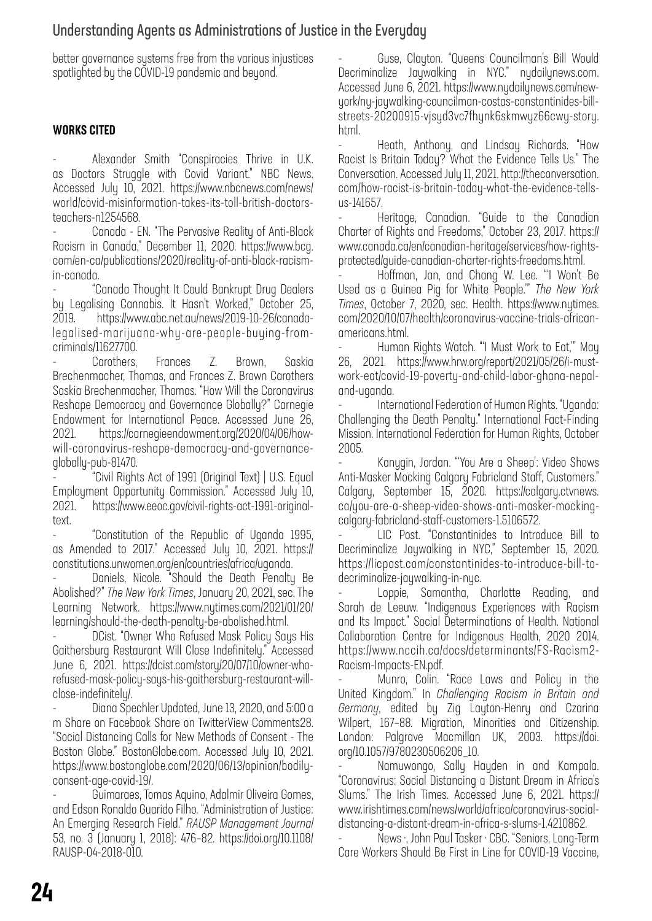### Understanding Agents as Administrations of Justice in the Everyday

better governance systems free from the various injustices spotlighted by the COVID-19 pandemic and beyond.

### WORKS CITED

Alexander Smith "Conspiracies Thrive in U.K. as Doctors Struggle with Covid Variant." NBC News. Accessed July 10, 2021. https://www.nbcnews.com/news/ world/covid-misinformation-takes-its-toll-british-doctorsteachers-n1254568.

Canada - EN. "The Pervasive Reality of Anti-Black Racism in Canada," December 11, 2020. https://www.bcg. com/en-ca/publications/2020/reality-of-anti-black-racismin-canada.

- "Canada Thought It Could Bankrupt Drug Dealers by Legalising Cannabis. It Hasn't Worked," October 25, 2019. https://www.abc.net.au/news/2019-10-26/canadalegalised-marijuana-why-are-people-buying-fromcriminals/11627700.

- Carothers, Frances Z. Brown, Saskia Brechenmacher, Thomas, and Frances Z. Brown Carothers Saskia Brechenmacher, Thomas. "How Will the Coronavirus Reshape Democracy and Governance Globally?" Carnegie Endowment for International Peace. Accessed June 26, 2021. https://carnegieendowment.org/2020/04/06/howwill-coronavirus-reshape-democracy-and-governanceglobally-pub-81470.

- "Civil Rights Act of 1991 (Original Text) | U.S. Equal Employment Opportunity Commission." Accessed July 10, 2021. https://www.eeoc.gov/civil-rights-act-1991-originaltext.

- "Constitution of the Republic of Uganda 1995, as Amended to 2017." Accessed July 10, 2021. https:// constitutions.unwomen.org/en/countries/africa/uganda.

Daniels, Nicole. "Should the Death Penalty Be Abolished?" *The New York Times*, January 20, 2021, sec. The Learning Network. https://www.nytimes.com/2021/01/20/ learning/should-the-death-penalty-be-abolished.html.

- DCist. "Owner Who Refused Mask Policy Says His Gaithersburg Restaurant Will Close Indefinitely." Accessed June 6, 2021. https://dcist.com/story/20/07/10/owner-whorefused-mask-policy-says-his-gaithersburg-restaurant-willclose-indefinitely/.

- Diana Spechler Updated, June 13, 2020, and 5:00 a m Share on Facebook Share on TwitterView Comments28. "Social Distancing Calls for New Methods of Consent - The Boston Globe." BostonGlobe.com. Accessed July 10, 2021. https://www.bostonglobe.com/2020/06/13/opinion/bodilyconsent-age-covid-19/.

- Guimaraes, Tomas Aquino, Adalmir Oliveira Gomes, and Edson Ronaldo Guarido Filho. "Administration of Justice: An Emerging Research Field." *RAUSP Management Journal* 53, no. 3 (January 1, 2018): 476–82. https://doi.org/10.1108/ RAUSP-04-2018-010.

- Guse, Clayton. "Queens Councilman's Bill Would Decriminalize Jaywalking in NYC." nydailynews.com. Accessed June 6, 2021. https://www.nydailynews.com/newyork/ny-jaywalking-councilman-costas-constantinides-billstreets-20200915-vjsyd3vc7fhynk6skmwyz66cwy-story. html.

- Heath, Anthony, and Lindsay Richards. "How Racist Is Britain Today? What the Evidence Tells Us." The Conversation. Accessed July 11, 2021. http://theconversation. com/how-racist-is-britain-today-what-the-evidence-tellsus-141657.

- Heritage, Canadian. "Guide to the Canadian Charter of Rights and Freedoms," October 23, 2017. https:// www.canada.ca/en/canadian-heritage/services/how-rightsprotected/guide-canadian-charter-rights-freedoms.html.

- Hoffman, Jan, and Chang W. Lee. "'I Won't Be Used as a Guinea Pig for White People.'" *The New York Times*, October 7, 2020, sec. Health. https://www.nytimes. com/2020/10/07/health/coronavirus-vaccine-trials-africanamericans.html.

- Human Rights Watch. "'I Must Work to Eat,'" May 26, 2021. https://www.hrw.org/report/2021/05/26/i-mustwork-eat/covid-19-poverty-and-child-labor-ghana-nepaland-uganda.

- International Federation of Human Rights. "Uganda: Challenging the Death Penalty." International Fact-Finding Mission. International Federation for Human Rights, October 2005.

- Kanygin, Jordan. "'You Are a Sheep': Video Shows Anti-Masker Mocking Calgary Fabricland Staff, Customers." Calgary, September 15, 2020. https://calgary.ctvnews. ca/you-are-a-sheep-video-shows-anti-masker-mockingcalgary-fabricland-staff-customers-1.5106572.

LIC Post. "Constantinides to Introduce Bill to Decriminalize Jaywalking in NYC," September 15, 2020. https://licpost.com/constantinides-to-introduce-bill-todecriminalize-jaywalking-in-nyc.

Loppie, Samantha, Charlotte Reading, and Sarah de Leeuw. "Indigenous Experiences with Racism and Its Impact." Social Determinations of Health. National Collaboration Centre for Indigenous Health, 2020 2014. https://www.nccih.ca/docs/determinants/FS-Racism2- Racism-Impacts-EN.pdf.

Munro, Colin. "Race Laws and Policy in the United Kingdom." In *Challenging Racism in Britain and Germany*, edited by Zig Layton-Henry and Czarina Wilpert, 167–88. Migration, Minorities and Citizenship. London: Palgrave Macmillan UK, 2003. https://doi. org/10.1057/9780230506206\_10.

Namuwongo, Sally Hayden in and Kampala. "Coronavirus: Social Distancing a Distant Dream in Africa's Slums." The Irish Times. Accessed June 6, 2021. https:// www.irishtimes.com/news/world/africa/coronavirus-socialdistancing-a-distant-dream-in-africa-s-slums-1.4210862.

- News ·, John Paul Tasker · CBC. "Seniors, Long-Term Care Workers Should Be First in Line for COVID-19 Vaccine,